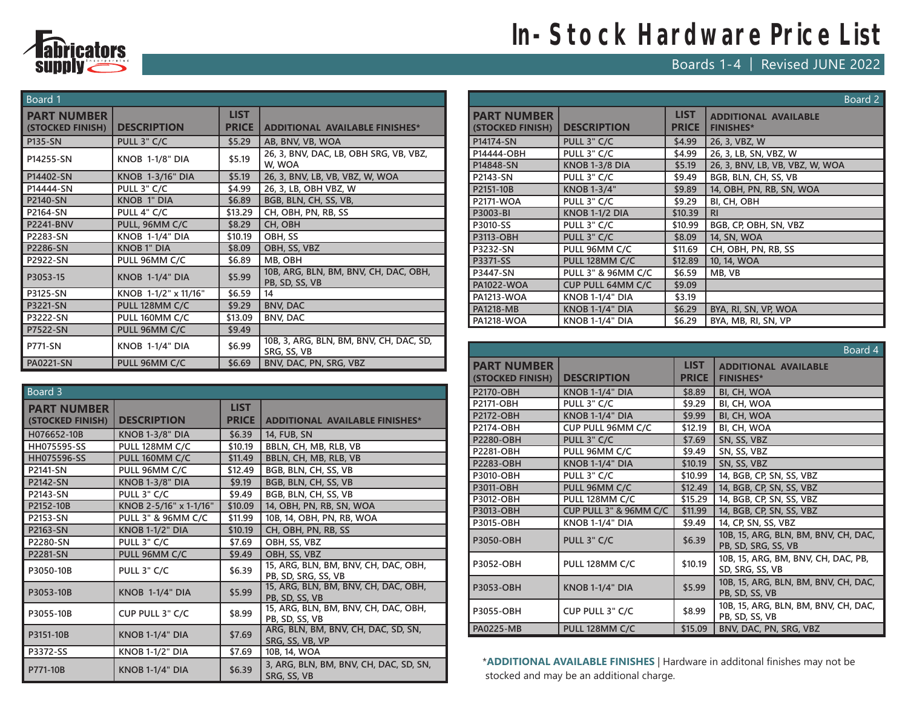

## **In-Stock Hardware Price List**

Boards 1-4 | Revised JUNE 2022

| Board 1                                |                         |                             |                                                         |  |
|----------------------------------------|-------------------------|-----------------------------|---------------------------------------------------------|--|
| <b>PART NUMBER</b><br>(STOCKED FINISH) | <b>DESCRIPTION</b>      | <b>LIST</b><br><b>PRICE</b> | <b>ADDITIONAL AVAILABLE FINISHES*</b>                   |  |
| P135-SN                                | PULL 3" C/C             | \$5.29                      | AB, BNV, VB, WOA                                        |  |
| P14255-SN                              | <b>KNOB 1-1/8" DIA</b>  | \$5.19                      | 26, 3, BNV, DAC, LB, OBH SRG, VB, VBZ,<br>W, WOA        |  |
| P14402-SN                              | <b>KNOB 1-3/16" DIA</b> | \$5.19                      | 26, 3, BNV, LB, VB, VBZ, W, WOA                         |  |
| P14444-SN                              | PULL 3" C/C             | \$4.99                      | 26, 3, LB, OBH VBZ, W                                   |  |
| P2140-SN                               | <b>KNOB 1" DIA</b>      | \$6.89                      | BGB, BLN, CH, SS, VB,                                   |  |
| P2164-SN                               | PULL 4" C/C             | \$13.29                     | CH, OBH, PN, RB, SS                                     |  |
| <b>P2241-BNV</b>                       | PULL, 96MM C/C          | \$8.29                      | CH, OBH                                                 |  |
| P2283-SN                               | <b>KNOB 1-1/4" DIA</b>  | \$10.19                     | OBH, SS                                                 |  |
| P2286-SN                               | <b>KNOB1" DIA</b>       | \$8.09                      | OBH, SS, VBZ                                            |  |
| P2922-SN                               | PULL 96MM C/C           | \$6.89                      | MB, OBH                                                 |  |
| P3053-15                               | <b>KNOB 1-1/4" DIA</b>  | \$5.99                      | 10B, ARG, BLN, BM, BNV, CH, DAC, OBH,<br>PB, SD, SS, VB |  |
| P3125-SN                               | KNOB 1-1/2" x 11/16"    | \$6.59                      | 14                                                      |  |
| P3221-SN                               | PULL 128MM C/C          | \$9.29                      | <b>BNV, DAC</b>                                         |  |
| P3222-SN                               | PULL 160MM C/C          | \$13.09                     | <b>BNV, DAC</b>                                         |  |
| P7522-SN                               | PULL 96MM C/C           | \$9.49                      |                                                         |  |
| <b>P771-SN</b>                         | <b>KNOB 1-1/4" DIA</b>  | \$6.99                      | 10B, 3, ARG, BLN, BM, BNV, CH, DAC, SD,<br>SRG, SS, VB  |  |
| <b>PA0221-SN</b>                       | PULL 96MM C/C           | \$6.69                      | BNV, DAC, PN, SRG, VBZ                                  |  |

| Board 3                                |                        |                             |                                                             |  |
|----------------------------------------|------------------------|-----------------------------|-------------------------------------------------------------|--|
| <b>PART NUMBER</b><br>(STOCKED FINISH) | <b>DESCRIPTION</b>     | <b>LIST</b><br><b>PRICE</b> | <b>ADDITIONAL AVAILABLE FINISHES*</b>                       |  |
| H076652-10B                            | <b>KNOB 1-3/8" DIA</b> | \$6.39                      | 14, FUB, SN                                                 |  |
| <b>HH075595-SS</b>                     | PULL 128MM C/C         | \$10.19                     | BBLN, CH, MB, RLB, VB                                       |  |
| <b>HH075596-SS</b>                     | PULL 160MM C/C         | \$11.49                     | BBLN, CH, MB, RLB, VB                                       |  |
| P2141-SN                               | PULL 96MM C/C          | \$12.49                     | BGB, BLN, CH, SS, VB                                        |  |
| <b>P2142-SN</b>                        | <b>KNOB 1-3/8" DIA</b> | \$9.19                      | BGB, BLN, CH, SS, VB                                        |  |
| P2143-SN                               | PULL 3" C/C            | \$9.49                      | BGB, BLN, CH, SS, VB                                        |  |
| P2152-10B                              | KNOB 2-5/16" x 1-1/16" | \$10.09                     | 14, OBH, PN, RB, SN, WOA                                    |  |
| P2153-SN                               | PULL 3" & 96MM C/C     | \$11.99                     | 10B, 14, OBH, PN, RB, WOA                                   |  |
| P2163-SN                               | <b>KNOB 1-1/2" DIA</b> | \$10.19                     | CH, OBH, PN, RB, SS                                         |  |
| P2280-SN                               | PULL 3" C/C            | \$7.69                      | OBH, SS, VBZ                                                |  |
| P2281-SN                               | PULL 96MM C/C          | \$9.49                      | OBH, SS, VBZ                                                |  |
| P3050-10B                              | PULL 3" C/C            | \$6.39                      | 15, ARG, BLN, BM, BNV, CH, DAC, OBH,<br>PB, SD, SRG, SS, VB |  |
| P3053-10B                              | <b>KNOB 1-1/4" DIA</b> | \$5.99                      | 15, ARG, BLN, BM, BNV, CH, DAC, OBH,<br>PB, SD, SS, VB      |  |
| P3055-10B                              | CUP PULL 3" C/C        | \$8.99                      | 15, ARG, BLN, BM, BNV, CH, DAC, OBH,<br>PB, SD, SS, VB      |  |
| P3151-10B                              | <b>KNOB 1-1/4" DIA</b> | \$7.69                      | ARG, BLN, BM, BNV, CH, DAC, SD, SN,<br>SRG, SS, VB, VP      |  |
| P3372-SS                               | <b>KNOB 1-1/2" DIA</b> | \$7.69                      | 10B, 14, WOA                                                |  |
| P771-10B                               | <b>KNOB 1-1/4" DIA</b> | \$6.39                      | 3, ARG, BLN, BM, BNV, CH, DAC, SD, SN,<br>SRG, SS, VB       |  |

|                                        |                          |                             | Board 2                                         |
|----------------------------------------|--------------------------|-----------------------------|-------------------------------------------------|
| <b>PART NUMBER</b><br>(STOCKED FINISH) | <b>DESCRIPTION</b>       | <b>LIST</b><br><b>PRICE</b> | <b>ADDITIONAL AVAILABLE</b><br><b>FINISHES*</b> |
| P14174-SN                              | PULL 3" C/C              | \$4.99                      | 26, 3, VBZ, W                                   |
| P14444-OBH                             | PULL 3" C/C              | \$4.99                      | 26, 3, LB, SN, VBZ, W                           |
| P14848-SN                              | <b>KNOB 1-3/8 DIA</b>    | \$5.19                      | 26, 3, BNV, LB, VB, VBZ, W, WOA                 |
| P2143-SN                               | PULL 3" C/C              | \$9.49                      | BGB, BLN, CH, SS, VB                            |
| P2151-10B                              | <b>KNOB 1-3/4"</b>       | \$9.89                      | 14, OBH, PN, RB, SN, WOA                        |
| P2171-WOA                              | PULL 3" C/C              | \$9.29                      | BI, CH, OBH                                     |
| P3003-BI                               | <b>KNOB 1-1/2 DIA</b>    | \$10.39                     | <b>RI</b>                                       |
| P3010-SS                               | PULL 3" C/C              | \$10.99                     | BGB, CP, OBH, SN, VBZ                           |
| <b>P3113-OBH</b>                       | PULL 3" C/C              | \$8.09                      | 14, SN, WOA                                     |
| P3232-SN                               | PULL 96MM C/C            | \$11.69                     | CH, OBH, PN, RB, SS                             |
| P3371-SS                               | PULL 128MM C/C           | \$12.89                     | 10, 14, WOA                                     |
| P3447-SN                               | PULL 3" & 96MM C/C       | \$6.59                      | MB, VB                                          |
| <b>PA1022-WOA</b>                      | <b>CUP PULL 64MM C/C</b> | \$9.09                      |                                                 |
| <b>PA1213-WOA</b>                      | <b>KNOB 1-1/4" DIA</b>   | \$3.19                      |                                                 |
| <b>PA1218-MB</b>                       | <b>KNOB 1-1/4" DIA</b>   | \$6.29                      | BYA, RI, SN, VP, WOA                            |
| <b>PA1218-WOA</b>                      | <b>KNOB 1-1/4" DIA</b>   | \$6.29                      | BYA, MB, RI, SN, VP                             |

|                                        |                        |                             | Board 4                                                     |
|----------------------------------------|------------------------|-----------------------------|-------------------------------------------------------------|
| <b>PART NUMBER</b><br>(STOCKED FINISH) | <b>DESCRIPTION</b>     | <b>LIST</b><br><b>PRICE</b> | <b>ADDITIONAL AVAILABLE</b><br><b>FINISHES*</b>             |
| <b>P2170-OBH</b>                       | <b>KNOB 1-1/4" DIA</b> | \$8.89                      | BI, CH, WOA                                                 |
| P2171-OBH                              | PULL 3" C/C            | \$9.29                      | BI, CH, WOA                                                 |
| <b>P2172-OBH</b>                       | <b>KNOB 1-1/4" DIA</b> | \$9.99                      | BI, CH, WOA                                                 |
| P2174-OBH                              | CUP PULL 96MM C/C      | \$12.19                     | BI, CH, WOA                                                 |
| P2280-OBH                              | PULL 3" C/C            | \$7.69                      | SN, SS, VBZ                                                 |
| P2281-OBH                              | PULL 96MM C/C          | \$9.49                      | SN, SS, VBZ                                                 |
| P2283-OBH                              | <b>KNOB 1-1/4" DIA</b> | \$10.19                     | SN, SS, VBZ                                                 |
| P3010-OBH                              | PULL 3" C/C            | \$10.99                     | 14, BGB, CP, SN, SS, VBZ                                    |
| P3011-OBH                              | PULL 96MM C/C          | \$12.49                     | 14, BGB, CP, SN, SS, VBZ                                    |
| P3012-OBH                              | PULL 128MM C/C         | \$15.29                     | 14, BGB, CP, SN, SS, VBZ                                    |
| P3013-OBH                              | CUP PULL 3" & 96MM C/C | \$11.99                     | 14, BGB, CP, SN, SS, VBZ                                    |
| P3015-OBH                              | <b>KNOB 1-1/4" DIA</b> | \$9.49                      | 14, CP, SN, SS, VBZ                                         |
| P3050-OBH                              | PULL 3" C/C            | \$6.39                      | 10B, 15, ARG, BLN, BM, BNV, CH, DAC,<br>PB, SD, SRG, SS, VB |
| P3052-OBH                              | PULL 128MM C/C         | \$10.19                     | 10B, 15, ARG, BM, BNV, CH, DAC, PB,<br>SD, SRG, SS, VB      |
| P3053-OBH                              | <b>KNOB 1-1/4" DIA</b> | \$5.99                      | 10B, 15, ARG, BLN, BM, BNV, CH, DAC,<br>PB, SD, SS, VB      |
| P3055-OBH                              | CUP PULL 3" C/C        | \$8.99                      | 10B, 15, ARG, BLN, BM, BNV, CH, DAC,<br>PB, SD, SS, VB      |
| <b>PA0225-MB</b>                       | PULL 128MM C/C         | \$15.09                     | BNV, DAC, PN, SRG, VBZ                                      |

\***ADDITIONAL AVAILABLE FINISHES** | Hardware in additonal finishes may not be stocked and may be an additional charge.